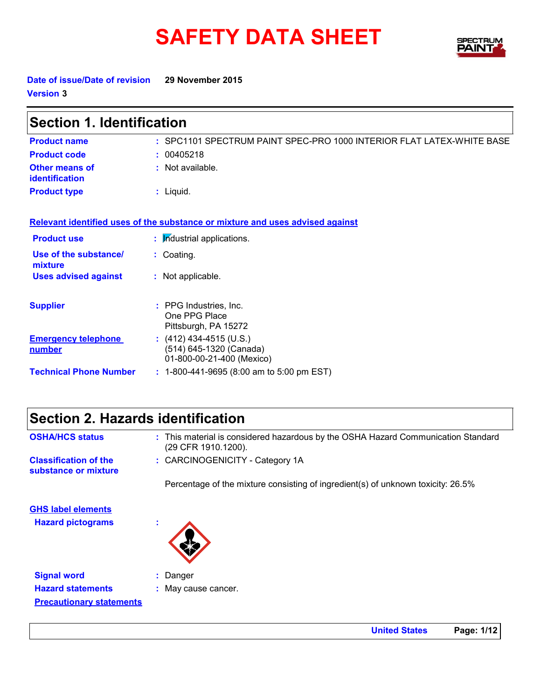# **SAFETY DATA SHEET**



**Date of issue/Date of revision 29 November 2015 Version 3**

| <b>Section 1. Identification</b>            |                                                                                   |  |
|---------------------------------------------|-----------------------------------------------------------------------------------|--|
| <b>Product name</b>                         | : SPC1101 SPECTRUM PAINT SPEC-PRO 1000 INTERIOR FLAT LATEX-WHITE BASE             |  |
| <b>Product code</b>                         | : 00405218                                                                        |  |
| <b>Other means of</b><br>identification     | : Not available.                                                                  |  |
| <b>Product type</b>                         | $:$ Liquid.                                                                       |  |
|                                             | Relevant identified uses of the substance or mixture and uses advised against     |  |
| <b>Product use</b>                          | : Industrial applications.                                                        |  |
| Use of the substance/<br>mixture            | : Coating.                                                                        |  |
| <b>Uses advised against</b>                 | : Not applicable.                                                                 |  |
| <b>Supplier</b>                             | : PPG Industries, Inc.<br>One PPG Place<br>Pittsburgh, PA 15272                   |  |
| <b>Emergency telephone</b><br><u>number</u> | : $(412)$ 434-4515 (U.S.)<br>(514) 645-1320 (Canada)<br>01-800-00-21-400 (Mexico) |  |
| <b>Technical Phone Number</b>               | $: 1-800-441-9695 (8:00 am to 5:00 pm EST)$                                       |  |

|                        | Section 2. Hazards identification            |
|------------------------|----------------------------------------------|
| <b>OSHA/HCS status</b> | $\cdot$ This material is considered hazardou |

**Precautionary statements**

| <b>OSHA/HCS status</b>                                | : This material is considered hazardous by the OSHA Hazard Communication Standard<br>(29 CFR 1910.1200). |
|-------------------------------------------------------|----------------------------------------------------------------------------------------------------------|
| <b>Classification of the</b><br>substance or mixture  | : CARCINOGENICITY - Category 1A                                                                          |
|                                                       | Percentage of the mixture consisting of ingredient(s) of unknown toxicity: 26.5%                         |
| <b>GHS label elements</b><br><b>Hazard pictograms</b> | $\mathbf{r}$                                                                                             |
| <b>Signal word</b>                                    | Danger                                                                                                   |
| <b>Hazard statements</b>                              | May cause cancer.                                                                                        |

**United States Page: 1/12**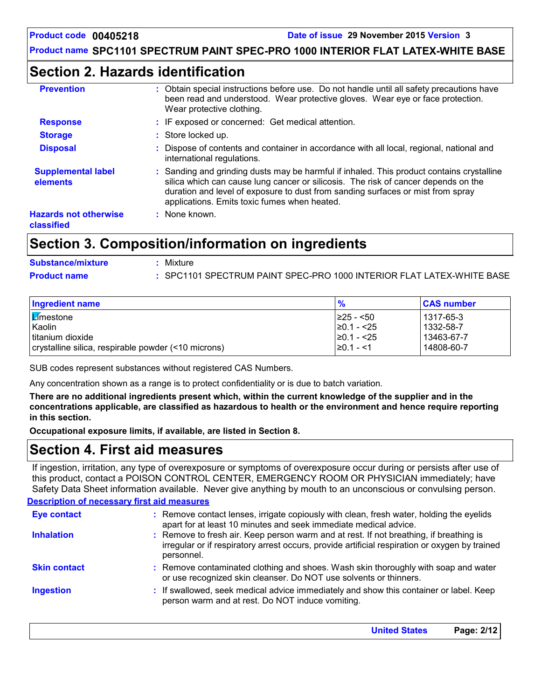### **Section 2. Hazards identification**

| <b>Prevention</b>                          | Obtain special instructions before use. Do not handle until all safety precautions have<br>been read and understood. Wear protective gloves. Wear eye or face protection.<br>Wear protective clothing.                                                                                                             |
|--------------------------------------------|--------------------------------------------------------------------------------------------------------------------------------------------------------------------------------------------------------------------------------------------------------------------------------------------------------------------|
| <b>Response</b>                            | : IF exposed or concerned: Get medical attention.                                                                                                                                                                                                                                                                  |
| <b>Storage</b>                             | : Store locked up.                                                                                                                                                                                                                                                                                                 |
| <b>Disposal</b>                            | : Dispose of contents and container in accordance with all local, regional, national and<br>international regulations.                                                                                                                                                                                             |
| <b>Supplemental label</b><br>elements      | : Sanding and grinding dusts may be harmful if inhaled. This product contains crystalline<br>silica which can cause lung cancer or silicosis. The risk of cancer depends on the<br>duration and level of exposure to dust from sanding surfaces or mist from spray<br>applications. Emits toxic fumes when heated. |
| <b>Hazards not otherwise</b><br>classified | : None known.                                                                                                                                                                                                                                                                                                      |

### **Section 3. Composition/information on ingredients**

| <b>Substance/mixture</b> | Mixture                                                               |
|--------------------------|-----------------------------------------------------------------------|
| <b>Product name</b>      | : SPC1101 SPECTRUM PAINT SPEC-PRO 1000 INTERIOR FLAT LATEX-WHITE BASE |

| <b>Ingredient name</b>                              | $\frac{9}{6}$   | <b>CAS number</b> |
|-----------------------------------------------------|-----------------|-------------------|
| <b>Z</b> mestone                                    | I≥25 - <50      | l 1317-65-3       |
| Kaolin                                              | $\geq 0.1 - 25$ | 1332-58-7         |
| titanium dioxide                                    | $\geq 0.1 - 25$ | 13463-67-7        |
| crystalline silica, respirable powder (<10 microns) | $\geq$ 0.1 - <1 | 14808-60-7        |

SUB codes represent substances without registered CAS Numbers.

Any concentration shown as a range is to protect confidentiality or is due to batch variation.

**There are no additional ingredients present which, within the current knowledge of the supplier and in the concentrations applicable, are classified as hazardous to health or the environment and hence require reporting in this section.**

**Occupational exposure limits, if available, are listed in Section 8.**

### **Section 4. First aid measures**

If ingestion, irritation, any type of overexposure or symptoms of overexposure occur during or persists after use of this product, contact a POISON CONTROL CENTER, EMERGENCY ROOM OR PHYSICIAN immediately; have Safety Data Sheet information available. Never give anything by mouth to an unconscious or convulsing person.

#### **Description of necessary first aid measures**

| <b>Eye contact</b>  | : Remove contact lenses, irrigate copiously with clean, fresh water, holding the eyelids<br>apart for at least 10 minutes and seek immediate medical advice.                                           |
|---------------------|--------------------------------------------------------------------------------------------------------------------------------------------------------------------------------------------------------|
| <b>Inhalation</b>   | : Remove to fresh air. Keep person warm and at rest. If not breathing, if breathing is<br>irregular or if respiratory arrest occurs, provide artificial respiration or oxygen by trained<br>personnel. |
| <b>Skin contact</b> | : Remove contaminated clothing and shoes. Wash skin thoroughly with soap and water<br>or use recognized skin cleanser. Do NOT use solvents or thinners.                                                |
| <b>Ingestion</b>    | : If swallowed, seek medical advice immediately and show this container or label. Keep<br>person warm and at rest. Do NOT induce vomiting.                                                             |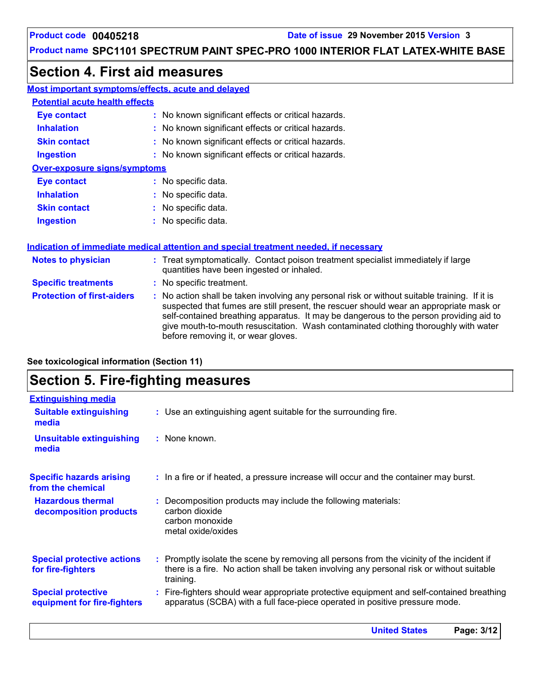### **Section 4. First aid measures**

| Most important symptoms/effects, acute and delayed |                                                     |  |
|----------------------------------------------------|-----------------------------------------------------|--|
| <b>Potential acute health effects</b>              |                                                     |  |
| Eye contact                                        | : No known significant effects or critical hazards. |  |
| <b>Inhalation</b>                                  | : No known significant effects or critical hazards. |  |
| <b>Skin contact</b>                                | : No known significant effects or critical hazards. |  |
| <b>Ingestion</b>                                   | : No known significant effects or critical hazards. |  |
| <b>Over-exposure signs/symptoms</b>                |                                                     |  |
| <b>Eye contact</b>                                 | : No specific data.                                 |  |
| <b>Inhalation</b>                                  | : No specific data.                                 |  |
| <b>Skin contact</b>                                | : No specific data.                                 |  |

#### **Ingestion** No specific data. **:**

#### **Indication of immediate medical attention and special treatment needed, if necessary**

| <b>Notes to physician</b>         | : Treat symptomatically. Contact poison treatment specialist immediately if large<br>quantities have been ingested or inhaled.                                                                                                                                                                                                                                                                                  |
|-----------------------------------|-----------------------------------------------------------------------------------------------------------------------------------------------------------------------------------------------------------------------------------------------------------------------------------------------------------------------------------------------------------------------------------------------------------------|
| <b>Specific treatments</b>        | : No specific treatment.                                                                                                                                                                                                                                                                                                                                                                                        |
| <b>Protection of first-aiders</b> | : No action shall be taken involving any personal risk or without suitable training. If it is<br>suspected that fumes are still present, the rescuer should wear an appropriate mask or<br>self-contained breathing apparatus. It may be dangerous to the person providing aid to<br>give mouth-to-mouth resuscitation. Wash contaminated clothing thoroughly with water<br>before removing it, or wear gloves. |

**See toxicological information (Section 11)**

# **Section 5. Fire-fighting measures**

| <b>Extinguishing media</b>                               |                                                                                                                                                                                                     |
|----------------------------------------------------------|-----------------------------------------------------------------------------------------------------------------------------------------------------------------------------------------------------|
| <b>Suitable extinguishing</b><br>media                   | : Use an extinguishing agent suitable for the surrounding fire.                                                                                                                                     |
| <b>Unsuitable extinguishing</b><br>media                 | : None known.                                                                                                                                                                                       |
| <b>Specific hazards arising</b><br>from the chemical     | : In a fire or if heated, a pressure increase will occur and the container may burst.                                                                                                               |
| <b>Hazardous thermal</b><br>decomposition products       | Decomposition products may include the following materials:<br>carbon dioxide<br>carbon monoxide<br>metal oxide/oxides                                                                              |
| <b>Special protective actions</b><br>for fire-fighters   | : Promptly isolate the scene by removing all persons from the vicinity of the incident if<br>there is a fire. No action shall be taken involving any personal risk or without suitable<br>training. |
| <b>Special protective</b><br>equipment for fire-fighters | : Fire-fighters should wear appropriate protective equipment and self-contained breathing<br>apparatus (SCBA) with a full face-piece operated in positive pressure mode.                            |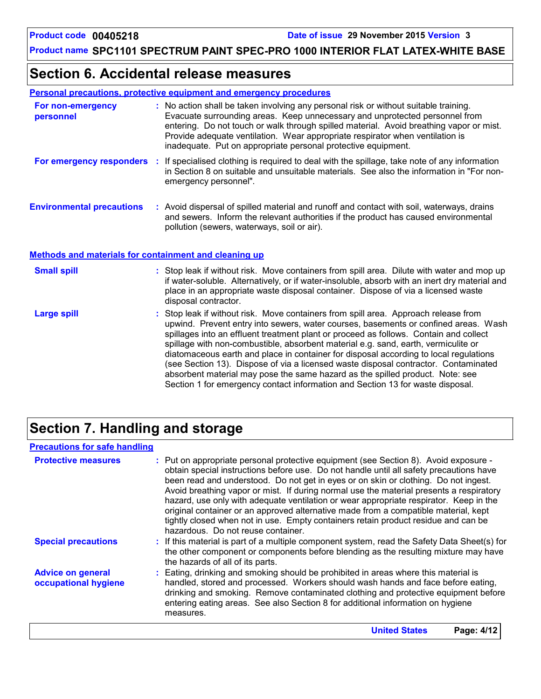### **Section 6. Accidental release measures**

|--|

| For non-emergency<br>personnel   | : No action shall be taken involving any personal risk or without suitable training.<br>Evacuate surrounding areas. Keep unnecessary and unprotected personnel from<br>entering. Do not touch or walk through spilled material. Avoid breathing vapor or mist.<br>Provide adequate ventilation. Wear appropriate respirator when ventilation is<br>inadequate. Put on appropriate personal protective equipment. |
|----------------------------------|------------------------------------------------------------------------------------------------------------------------------------------------------------------------------------------------------------------------------------------------------------------------------------------------------------------------------------------------------------------------------------------------------------------|
| For emergency responders :       | If specialised clothing is required to deal with the spillage, take note of any information<br>in Section 8 on suitable and unsuitable materials. See also the information in "For non-<br>emergency personnel".                                                                                                                                                                                                 |
| <b>Environmental precautions</b> | : Avoid dispersal of spilled material and runoff and contact with soil, waterways, drains<br>and sewers. Inform the relevant authorities if the product has caused environmental<br>pollution (sewers, waterways, soil or air).                                                                                                                                                                                  |

**Methods and materials for containment and cleaning up**

| <b>Small spill</b> | : Stop leak if without risk. Move containers from spill area. Dilute with water and mop up<br>if water-soluble. Alternatively, or if water-insoluble, absorb with an inert dry material and<br>place in an appropriate waste disposal container. Dispose of via a licensed waste<br>disposal contractor.                                                                                                                                                                                                                                                                                                                                                                                                     |
|--------------------|--------------------------------------------------------------------------------------------------------------------------------------------------------------------------------------------------------------------------------------------------------------------------------------------------------------------------------------------------------------------------------------------------------------------------------------------------------------------------------------------------------------------------------------------------------------------------------------------------------------------------------------------------------------------------------------------------------------|
| <b>Large spill</b> | : Stop leak if without risk. Move containers from spill area. Approach release from<br>upwind. Prevent entry into sewers, water courses, basements or confined areas. Wash<br>spillages into an effluent treatment plant or proceed as follows. Contain and collect<br>spillage with non-combustible, absorbent material e.g. sand, earth, vermiculite or<br>diatomaceous earth and place in container for disposal according to local regulations<br>(see Section 13). Dispose of via a licensed waste disposal contractor. Contaminated<br>absorbent material may pose the same hazard as the spilled product. Note: see<br>Section 1 for emergency contact information and Section 13 for waste disposal. |

# **Section 7. Handling and storage**

### **Precautions for safe handling**

| <b>Protective measures</b>                       | : Put on appropriate personal protective equipment (see Section 8). Avoid exposure -<br>obtain special instructions before use. Do not handle until all safety precautions have<br>been read and understood. Do not get in eyes or on skin or clothing. Do not ingest.<br>Avoid breathing vapor or mist. If during normal use the material presents a respiratory<br>hazard, use only with adequate ventilation or wear appropriate respirator. Keep in the<br>original container or an approved alternative made from a compatible material, kept<br>tightly closed when not in use. Empty containers retain product residue and can be<br>hazardous. Do not reuse container. |
|--------------------------------------------------|--------------------------------------------------------------------------------------------------------------------------------------------------------------------------------------------------------------------------------------------------------------------------------------------------------------------------------------------------------------------------------------------------------------------------------------------------------------------------------------------------------------------------------------------------------------------------------------------------------------------------------------------------------------------------------|
| <b>Special precautions</b>                       | : If this material is part of a multiple component system, read the Safety Data Sheet(s) for<br>the other component or components before blending as the resulting mixture may have<br>the hazards of all of its parts.                                                                                                                                                                                                                                                                                                                                                                                                                                                        |
| <b>Advice on general</b><br>occupational hygiene | : Eating, drinking and smoking should be prohibited in areas where this material is<br>handled, stored and processed. Workers should wash hands and face before eating,<br>drinking and smoking. Remove contaminated clothing and protective equipment before<br>entering eating areas. See also Section 8 for additional information on hygiene<br>measures.                                                                                                                                                                                                                                                                                                                  |
|                                                  | <b>United States</b><br>Page: 4/12                                                                                                                                                                                                                                                                                                                                                                                                                                                                                                                                                                                                                                             |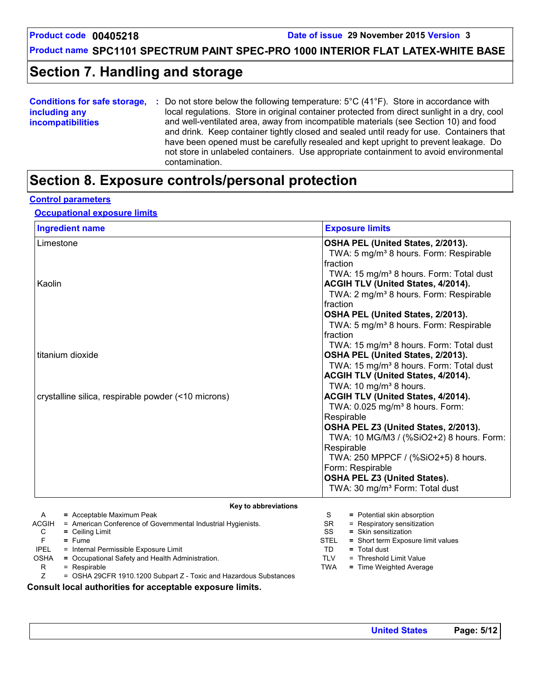## **Section 7. Handling and storage**

| <b>Conditions for safe storage,</b> | Do not store below the following temperature: $5^{\circ}$ C (41 $^{\circ}$ F). Store in accordance with |  |  |  |  |
|-------------------------------------|---------------------------------------------------------------------------------------------------------|--|--|--|--|
| including any                       | local regulations. Store in original container protected from direct sunlight in a dry, cool            |  |  |  |  |
| <b>incompatibilities</b>            | and well-ventilated area, away from incompatible materials (see Section 10) and food                    |  |  |  |  |
|                                     | and drink. Keep container tightly closed and sealed until ready for use. Containers that                |  |  |  |  |
|                                     | have been opened must be carefully resealed and kept upright to prevent leakage. Do                     |  |  |  |  |
|                                     | not store in unlabeled containers. Use appropriate containment to avoid environmental                   |  |  |  |  |
|                                     | contamination.                                                                                          |  |  |  |  |

### **Section 8. Exposure controls/personal protection**

#### **Control parameters**

#### **Occupational exposure limits**

| <b>Ingredient name</b>                                                | <b>Exposure limits</b>                              |
|-----------------------------------------------------------------------|-----------------------------------------------------|
| Limestone                                                             | OSHA PEL (United States, 2/2013).                   |
|                                                                       | TWA: 5 mg/m <sup>3</sup> 8 hours. Form: Respirable  |
|                                                                       | fraction                                            |
|                                                                       | TWA: 15 mg/m <sup>3</sup> 8 hours. Form: Total dust |
| Kaolin                                                                | ACGIH TLV (United States, 4/2014).                  |
|                                                                       | TWA: 2 mg/m <sup>3</sup> 8 hours. Form: Respirable  |
|                                                                       | fraction                                            |
|                                                                       | OSHA PEL (United States, 2/2013).                   |
|                                                                       | TWA: 5 mg/m <sup>3</sup> 8 hours. Form: Respirable  |
|                                                                       | fraction                                            |
|                                                                       | TWA: 15 mg/m <sup>3</sup> 8 hours. Form: Total dust |
| titanium dioxide                                                      | OSHA PEL (United States, 2/2013).                   |
|                                                                       | TWA: 15 mg/m <sup>3</sup> 8 hours. Form: Total dust |
|                                                                       | ACGIH TLV (United States, 4/2014).                  |
|                                                                       | TWA: 10 mg/m <sup>3</sup> 8 hours.                  |
| crystalline silica, respirable powder (<10 microns)                   | ACGIH TLV (United States, 4/2014).                  |
|                                                                       | TWA: 0.025 mg/m <sup>3</sup> 8 hours. Form:         |
|                                                                       | Respirable                                          |
|                                                                       | OSHA PEL Z3 (United States, 2/2013).                |
|                                                                       | TWA: 10 MG/M3 / (%SiO2+2) 8 hours. Form:            |
|                                                                       | Respirable                                          |
|                                                                       | TWA: 250 MPPCF / (%SiO2+5) 8 hours.                 |
|                                                                       | Form: Respirable                                    |
|                                                                       | OSHA PEL Z3 (United States).                        |
|                                                                       | TWA: 30 mg/m <sup>3</sup> Form: Total dust          |
| Key to abbreviations                                                  |                                                     |
| = Acceptable Maximum Peak<br>A                                        | = Potential skin absorption<br>S.                   |
| ACGIH<br>= American Conference of Governmental Industrial Hygienists. | = Respiratory sensitization<br>SR.                  |
| C<br>$=$ Ceiling Limit                                                | SS<br>$=$ Skin sensitization                        |

| $=$ Ceiling Limit |  |
|-------------------|--|
| $=$ Fume          |  |

- IPEL = Internal Permissible Exposure Limit
- OSHA = Occupational Safety and Health Administration.<br>R = Respirable
	- $=$  Respirable
	- Z = OSHA 29CFR 1910.1200 Subpart Z Toxic and Hazardous Substances

**Consult local authorities for acceptable exposure limits.**

TD **=** Total dust

TLV = Threshold Limit Value TWA **=** Time Weighted Average

STEL **=** Short term Exposure limit values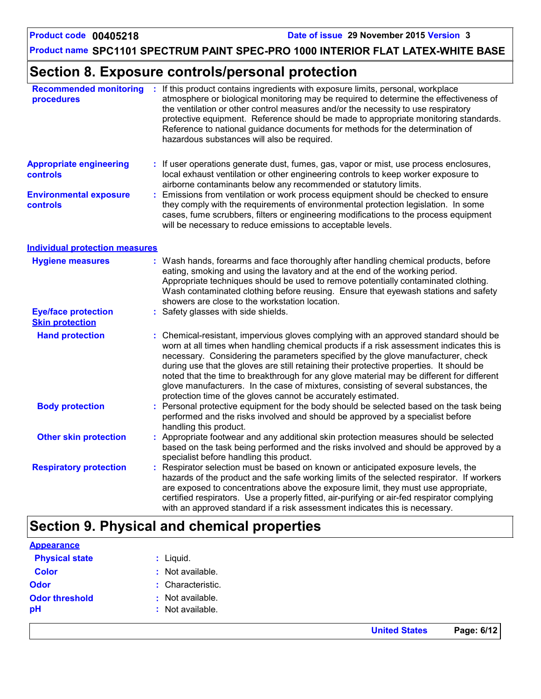**United States Page: 6/12**

### **Product name SPC1101 SPECTRUM PAINT SPEC-PRO 1000 INTERIOR FLAT LATEX-WHITE BASE**

### **Section 8. Exposure controls/personal protection**

| <b>Recommended monitoring</b><br>procedures          | : If this product contains ingredients with exposure limits, personal, workplace<br>atmosphere or biological monitoring may be required to determine the effectiveness of<br>the ventilation or other control measures and/or the necessity to use respiratory<br>protective equipment. Reference should be made to appropriate monitoring standards.<br>Reference to national guidance documents for methods for the determination of<br>hazardous substances will also be required.                                                                                                                                  |
|------------------------------------------------------|------------------------------------------------------------------------------------------------------------------------------------------------------------------------------------------------------------------------------------------------------------------------------------------------------------------------------------------------------------------------------------------------------------------------------------------------------------------------------------------------------------------------------------------------------------------------------------------------------------------------|
| <b>Appropriate engineering</b><br>controls           | : If user operations generate dust, fumes, gas, vapor or mist, use process enclosures,<br>local exhaust ventilation or other engineering controls to keep worker exposure to<br>airborne contaminants below any recommended or statutory limits.                                                                                                                                                                                                                                                                                                                                                                       |
| <b>Environmental exposure</b><br><b>controls</b>     | Emissions from ventilation or work process equipment should be checked to ensure<br>they comply with the requirements of environmental protection legislation. In some<br>cases, fume scrubbers, filters or engineering modifications to the process equipment<br>will be necessary to reduce emissions to acceptable levels.                                                                                                                                                                                                                                                                                          |
| <b>Individual protection measures</b>                |                                                                                                                                                                                                                                                                                                                                                                                                                                                                                                                                                                                                                        |
| <b>Hygiene measures</b>                              | : Wash hands, forearms and face thoroughly after handling chemical products, before<br>eating, smoking and using the lavatory and at the end of the working period.<br>Appropriate techniques should be used to remove potentially contaminated clothing.<br>Wash contaminated clothing before reusing. Ensure that eyewash stations and safety<br>showers are close to the workstation location.                                                                                                                                                                                                                      |
| <b>Eye/face protection</b><br><b>Skin protection</b> | Safety glasses with side shields.                                                                                                                                                                                                                                                                                                                                                                                                                                                                                                                                                                                      |
| <b>Hand protection</b>                               | : Chemical-resistant, impervious gloves complying with an approved standard should be<br>worn at all times when handling chemical products if a risk assessment indicates this is<br>necessary. Considering the parameters specified by the glove manufacturer, check<br>during use that the gloves are still retaining their protective properties. It should be<br>noted that the time to breakthrough for any glove material may be different for different<br>glove manufacturers. In the case of mixtures, consisting of several substances, the<br>protection time of the gloves cannot be accurately estimated. |
| <b>Body protection</b>                               | Personal protective equipment for the body should be selected based on the task being<br>performed and the risks involved and should be approved by a specialist before<br>handling this product.                                                                                                                                                                                                                                                                                                                                                                                                                      |
| <b>Other skin protection</b>                         | : Appropriate footwear and any additional skin protection measures should be selected<br>based on the task being performed and the risks involved and should be approved by a<br>specialist before handling this product.                                                                                                                                                                                                                                                                                                                                                                                              |
| <b>Respiratory protection</b>                        | Respirator selection must be based on known or anticipated exposure levels, the<br>hazards of the product and the safe working limits of the selected respirator. If workers<br>are exposed to concentrations above the exposure limit, they must use appropriate,<br>certified respirators. Use a properly fitted, air-purifying or air-fed respirator complying<br>with an approved standard if a risk assessment indicates this is necessary.                                                                                                                                                                       |

# **Section 9. Physical and chemical properties**

| <b>Appearance</b>     |                   |
|-----------------------|-------------------|
| <b>Physical state</b> | : Liquid.         |
| <b>Color</b>          | : Not available.  |
| <b>Odor</b>           | : Characteristic. |
| <b>Odor threshold</b> | : Not available.  |
| pH                    | : Not available.  |
|                       |                   |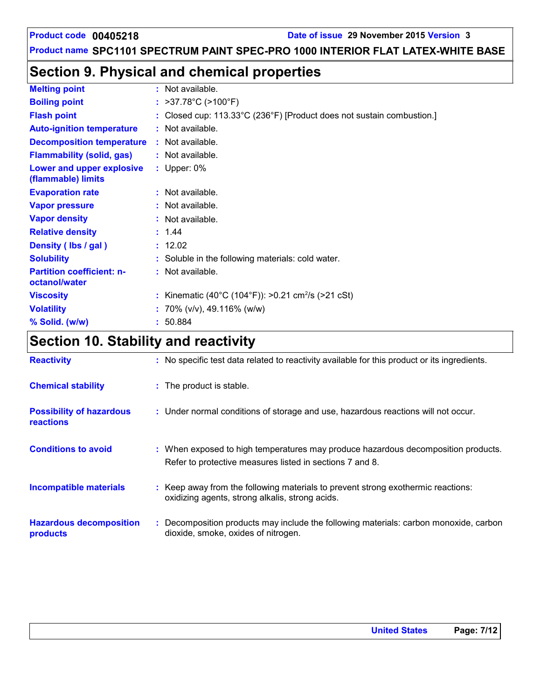### **Product code** 00405218 **Date of issue** 29 November 2015 Version 3

### **Product name SPC1101 SPECTRUM PAINT SPEC-PRO 1000 INTERIOR FLAT LATEX-WHITE BASE**

## **Section 9. Physical and chemical properties**

| <b>Melting point</b>                              | $:$ Not available.                                                    |  |
|---------------------------------------------------|-----------------------------------------------------------------------|--|
| <b>Boiling point</b>                              | : $>37.78^{\circ}$ C ( $>100^{\circ}$ F)                              |  |
| <b>Flash point</b>                                | : Closed cup: 113.33°C (236°F) [Product does not sustain combustion.] |  |
| <b>Auto-ignition temperature</b>                  | : Not available.                                                      |  |
| <b>Decomposition temperature</b>                  | $:$ Not available.                                                    |  |
| <b>Flammability (solid, gas)</b>                  | : Not available.                                                      |  |
| Lower and upper explosive<br>(flammable) limits   | : Upper: $0\%$                                                        |  |
| <b>Evaporation rate</b>                           | : Not available.                                                      |  |
| <b>Vapor pressure</b>                             | $:$ Not available.                                                    |  |
| <b>Vapor density</b>                              | : Not available.                                                      |  |
| <b>Relative density</b>                           | : 1.44                                                                |  |
| Density (Ibs / gal)                               | : 12.02                                                               |  |
| <b>Solubility</b>                                 | : Soluble in the following materials: cold water.                     |  |
| <b>Partition coefficient: n-</b><br>octanol/water | : Not available.                                                      |  |
| <b>Viscosity</b>                                  | : Kinematic (40°C (104°F)): >0.21 cm <sup>2</sup> /s (>21 cSt)        |  |
| <b>Volatility</b>                                 | : 70% ( $v/v$ ), 49.116% ( $w/w$ )                                    |  |
| % Solid. (w/w)                                    | : 50.884                                                              |  |

# **Section 10. Stability and reactivity**

| <b>Reactivity</b>                            | : No specific test data related to reactivity available for this product or its ingredients.                                                  |
|----------------------------------------------|-----------------------------------------------------------------------------------------------------------------------------------------------|
| <b>Chemical stability</b>                    | : The product is stable.                                                                                                                      |
| <b>Possibility of hazardous</b><br>reactions | : Under normal conditions of storage and use, hazardous reactions will not occur.                                                             |
| <b>Conditions to avoid</b>                   | : When exposed to high temperatures may produce hazardous decomposition products.<br>Refer to protective measures listed in sections 7 and 8. |
| <b>Incompatible materials</b>                | : Keep away from the following materials to prevent strong exothermic reactions:<br>oxidizing agents, strong alkalis, strong acids.           |
| <b>Hazardous decomposition</b><br>products   | : Decomposition products may include the following materials: carbon monoxide, carbon<br>dioxide, smoke, oxides of nitrogen.                  |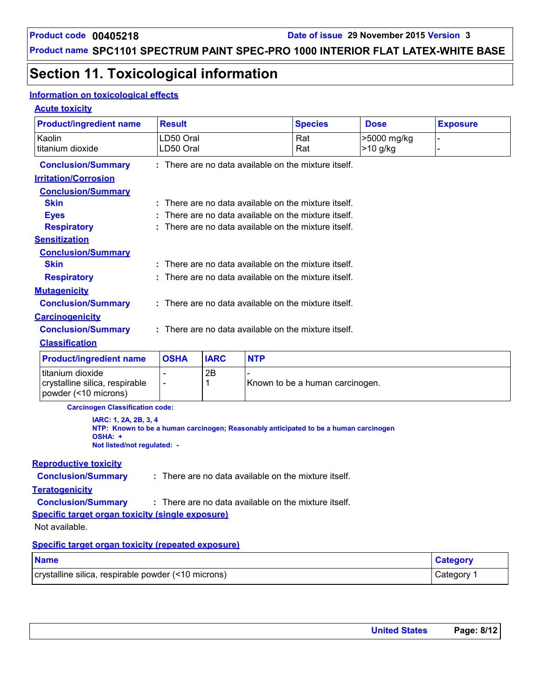# **Section 11. Toxicological information**

### **Information on toxicological effects**

### **Acute toxicity**

| <b>Product/ingredient name</b>                                             | <b>Result</b>                                        |             |            | <b>Species</b>                                                                       | <b>Dose</b>               | <b>Exposure</b> |  |  |
|----------------------------------------------------------------------------|------------------------------------------------------|-------------|------------|--------------------------------------------------------------------------------------|---------------------------|-----------------|--|--|
| Kaolin<br>titanium dioxide                                                 | LD50 Oral<br>LD50 Oral                               |             |            | Rat<br>Rat                                                                           | >5000 mg/kg<br>$>10$ g/kg |                 |  |  |
| <b>Conclusion/Summary</b>                                                  |                                                      |             |            | : There are no data available on the mixture itself.                                 |                           |                 |  |  |
| <b>Irritation/Corrosion</b>                                                |                                                      |             |            |                                                                                      |                           |                 |  |  |
| <b>Conclusion/Summary</b>                                                  |                                                      |             |            |                                                                                      |                           |                 |  |  |
| <b>Skin</b>                                                                | : There are no data available on the mixture itself. |             |            |                                                                                      |                           |                 |  |  |
| <b>Eyes</b>                                                                |                                                      |             |            | There are no data available on the mixture itself.                                   |                           |                 |  |  |
| <b>Respiratory</b>                                                         |                                                      |             |            | There are no data available on the mixture itself.                                   |                           |                 |  |  |
| <b>Sensitization</b>                                                       |                                                      |             |            |                                                                                      |                           |                 |  |  |
| <b>Conclusion/Summary</b><br><b>Skin</b>                                   |                                                      |             |            | : There are no data available on the mixture itself.                                 |                           |                 |  |  |
| <b>Respiratory</b>                                                         |                                                      |             |            | : There are no data available on the mixture itself.                                 |                           |                 |  |  |
| <b>Mutagenicity</b>                                                        |                                                      |             |            |                                                                                      |                           |                 |  |  |
| <b>Conclusion/Summary</b>                                                  |                                                      |             |            | : There are no data available on the mixture itself.                                 |                           |                 |  |  |
| <b>Carcinogenicity</b>                                                     |                                                      |             |            |                                                                                      |                           |                 |  |  |
| <b>Conclusion/Summary</b>                                                  |                                                      |             |            | : There are no data available on the mixture itself.                                 |                           |                 |  |  |
| <b>Classification</b>                                                      |                                                      |             |            |                                                                                      |                           |                 |  |  |
| <b>Product/ingredient name</b>                                             | <b>OSHA</b>                                          | <b>IARC</b> | <b>NTP</b> |                                                                                      |                           |                 |  |  |
| titanium dioxide<br>crystalline silica, respirable<br>powder (<10 microns) |                                                      | 2B<br>1     |            | Known to be a human carcinogen.                                                      |                           |                 |  |  |
| <b>Carcinogen Classification code:</b>                                     |                                                      |             |            |                                                                                      |                           |                 |  |  |
| IARC: 1, 2A, 2B, 3, 4<br>OSHA: +<br>Not listed/not regulated: -            |                                                      |             |            | NTP: Known to be a human carcinogen; Reasonably anticipated to be a human carcinogen |                           |                 |  |  |
| <b>Reproductive toxicity</b>                                               |                                                      |             |            |                                                                                      |                           |                 |  |  |
| <b>Conclusion/Summary</b>                                                  |                                                      |             |            | : There are no data available on the mixture itself.                                 |                           |                 |  |  |
| <b>Teratogenicity</b>                                                      |                                                      |             |            |                                                                                      |                           |                 |  |  |
| <b>Conclusion/Summary</b>                                                  |                                                      |             |            | : There are no data available on the mixture itself.                                 |                           |                 |  |  |
| <b>Specific target organ toxicity (single exposure)</b>                    |                                                      |             |            |                                                                                      |                           |                 |  |  |
| Not available.                                                             |                                                      |             |            |                                                                                      |                           |                 |  |  |
| <b>Specific target organ toxicity (repeated exposure)</b>                  |                                                      |             |            |                                                                                      |                           |                 |  |  |
| <b>Name</b>                                                                |                                                      |             |            |                                                                                      |                           | <b>Category</b> |  |  |
| crystalline silica, respirable powder (<10 microns)                        |                                                      |             |            |                                                                                      |                           | Category 1      |  |  |

| <b>United States</b> | Page: 8/12 |
|----------------------|------------|
|----------------------|------------|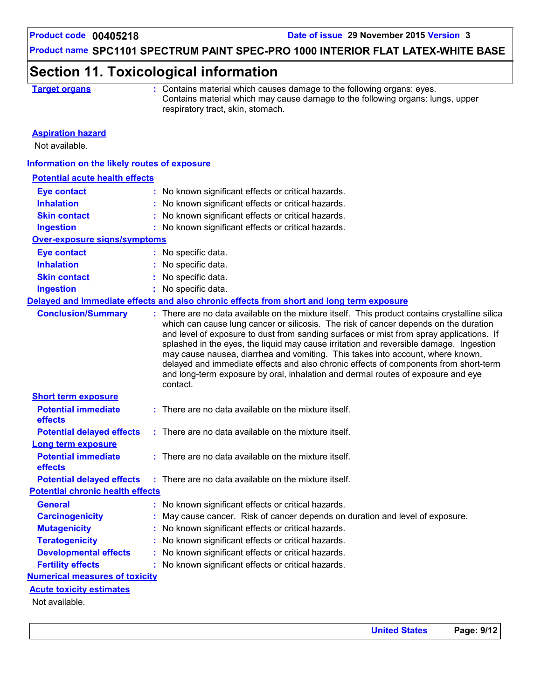### **Section 11. Toxicological information**

|  | <b>Farget organs</b> |  |  |  |
|--|----------------------|--|--|--|
|  |                      |  |  |  |

**Target or Contains material which causes damage to the following organs: eyes.** Contains material which may cause damage to the following organs: lungs, upper respiratory tract, skin, stomach.

#### **Aspiration hazard**

Not available.

#### **Information on the likely routes of exposure**

| <b>Potential acute health effects</b>   |                                                                                                                                                                                                                                                                                                                                                                                                                                                                                                                                                                                                                                                      |
|-----------------------------------------|------------------------------------------------------------------------------------------------------------------------------------------------------------------------------------------------------------------------------------------------------------------------------------------------------------------------------------------------------------------------------------------------------------------------------------------------------------------------------------------------------------------------------------------------------------------------------------------------------------------------------------------------------|
| <b>Eye contact</b>                      | : No known significant effects or critical hazards.                                                                                                                                                                                                                                                                                                                                                                                                                                                                                                                                                                                                  |
| <b>Inhalation</b>                       | : No known significant effects or critical hazards.                                                                                                                                                                                                                                                                                                                                                                                                                                                                                                                                                                                                  |
| <b>Skin contact</b>                     | : No known significant effects or critical hazards.                                                                                                                                                                                                                                                                                                                                                                                                                                                                                                                                                                                                  |
| <b>Ingestion</b>                        | : No known significant effects or critical hazards.                                                                                                                                                                                                                                                                                                                                                                                                                                                                                                                                                                                                  |
| <b>Over-exposure signs/symptoms</b>     |                                                                                                                                                                                                                                                                                                                                                                                                                                                                                                                                                                                                                                                      |
| <b>Eye contact</b>                      | : No specific data.                                                                                                                                                                                                                                                                                                                                                                                                                                                                                                                                                                                                                                  |
| <b>Inhalation</b>                       | : No specific data.                                                                                                                                                                                                                                                                                                                                                                                                                                                                                                                                                                                                                                  |
| <b>Skin contact</b>                     | : No specific data.                                                                                                                                                                                                                                                                                                                                                                                                                                                                                                                                                                                                                                  |
| <b>Ingestion</b>                        | : No specific data.                                                                                                                                                                                                                                                                                                                                                                                                                                                                                                                                                                                                                                  |
|                                         | Delayed and immediate effects and also chronic effects from short and long term exposure                                                                                                                                                                                                                                                                                                                                                                                                                                                                                                                                                             |
| <b>Conclusion/Summary</b>               | : There are no data available on the mixture itself. This product contains crystalline silica<br>which can cause lung cancer or silicosis. The risk of cancer depends on the duration<br>and level of exposure to dust from sanding surfaces or mist from spray applications. If<br>splashed in the eyes, the liquid may cause irritation and reversible damage. Ingestion<br>may cause nausea, diarrhea and vomiting. This takes into account, where known,<br>delayed and immediate effects and also chronic effects of components from short-term<br>and long-term exposure by oral, inhalation and dermal routes of exposure and eye<br>contact. |
| <b>Short term exposure</b>              |                                                                                                                                                                                                                                                                                                                                                                                                                                                                                                                                                                                                                                                      |
| <b>Potential immediate</b><br>effects   | : There are no data available on the mixture itself.                                                                                                                                                                                                                                                                                                                                                                                                                                                                                                                                                                                                 |
| <b>Potential delayed effects</b>        | $:$ There are no data available on the mixture itself.                                                                                                                                                                                                                                                                                                                                                                                                                                                                                                                                                                                               |
| Long term exposure                      |                                                                                                                                                                                                                                                                                                                                                                                                                                                                                                                                                                                                                                                      |
| <b>Potential immediate</b>              | $:$ There are no data available on the mixture itself.                                                                                                                                                                                                                                                                                                                                                                                                                                                                                                                                                                                               |
| effects                                 |                                                                                                                                                                                                                                                                                                                                                                                                                                                                                                                                                                                                                                                      |
| <b>Potential delayed effects</b>        | : There are no data available on the mixture itself.                                                                                                                                                                                                                                                                                                                                                                                                                                                                                                                                                                                                 |
| <b>Potential chronic health effects</b> |                                                                                                                                                                                                                                                                                                                                                                                                                                                                                                                                                                                                                                                      |
| <b>General</b>                          | : No known significant effects or critical hazards.                                                                                                                                                                                                                                                                                                                                                                                                                                                                                                                                                                                                  |
| <b>Carcinogenicity</b>                  | : May cause cancer. Risk of cancer depends on duration and level of exposure.                                                                                                                                                                                                                                                                                                                                                                                                                                                                                                                                                                        |
| <b>Mutagenicity</b>                     | : No known significant effects or critical hazards.                                                                                                                                                                                                                                                                                                                                                                                                                                                                                                                                                                                                  |
| <b>Teratogenicity</b>                   | : No known significant effects or critical hazards.                                                                                                                                                                                                                                                                                                                                                                                                                                                                                                                                                                                                  |
| <b>Developmental effects</b>            | : No known significant effects or critical hazards.                                                                                                                                                                                                                                                                                                                                                                                                                                                                                                                                                                                                  |
| <b>Fertility effects</b>                | : No known significant effects or critical hazards.                                                                                                                                                                                                                                                                                                                                                                                                                                                                                                                                                                                                  |
| <b>Numerical measures of toxicity</b>   |                                                                                                                                                                                                                                                                                                                                                                                                                                                                                                                                                                                                                                                      |
| <b>Acute toxicity estimates</b>         |                                                                                                                                                                                                                                                                                                                                                                                                                                                                                                                                                                                                                                                      |
| Not available.                          |                                                                                                                                                                                                                                                                                                                                                                                                                                                                                                                                                                                                                                                      |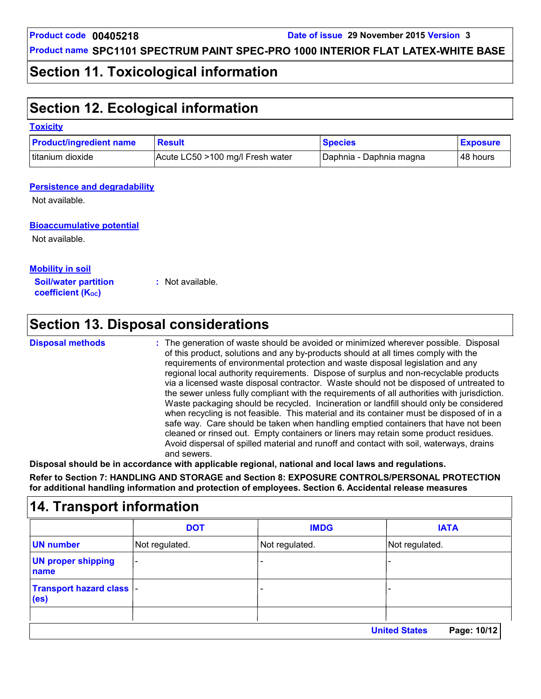### **Section 11. Toxicological information**

## **Section 12. Ecological information**

#### **Toxicity**

| <b>Product/ingredient name</b> | <b>Result</b>                    | <b>Species</b>          | <b>Exposure</b> |
|--------------------------------|----------------------------------|-------------------------|-----------------|
| titanium dioxide               | Acute LC50 >100 mg/l Fresh water | Daphnia - Daphnia magna | l 48 hours      |

#### **Persistence and degradability**

Not available.

### **Bioaccumulative potential**

Not available.

**Mobility in soil**

**Soil/water partition coefficient (Koc)** 

**:** Not available.

# **Section 13. Disposal considerations**

#### **Disposal methods :**

The generation of waste should be avoided or minimized wherever possible. Disposal of this product, solutions and any by-products should at all times comply with the requirements of environmental protection and waste disposal legislation and any regional local authority requirements. Dispose of surplus and non-recyclable products via a licensed waste disposal contractor. Waste should not be disposed of untreated to the sewer unless fully compliant with the requirements of all authorities with jurisdiction. Waste packaging should be recycled. Incineration or landfill should only be considered when recycling is not feasible. This material and its container must be disposed of in a safe way. Care should be taken when handling emptied containers that have not been cleaned or rinsed out. Empty containers or liners may retain some product residues. Avoid dispersal of spilled material and runoff and contact with soil, waterways, drains and sewers.

**Disposal should be in accordance with applicable regional, national and local laws and regulations. Refer to Section 7: HANDLING AND STORAGE and Section 8: EXPOSURE CONTROLS/PERSONAL PROTECTION for additional handling information and protection of employees. Section 6. Accidental release measures**

#### **14. Transport information** - - - - Not regulated. - Not regulated. Not regulated. **DOT IMDG IATA UN number UN proper shipping name Transport hazard class (es) United States Page: 10/12**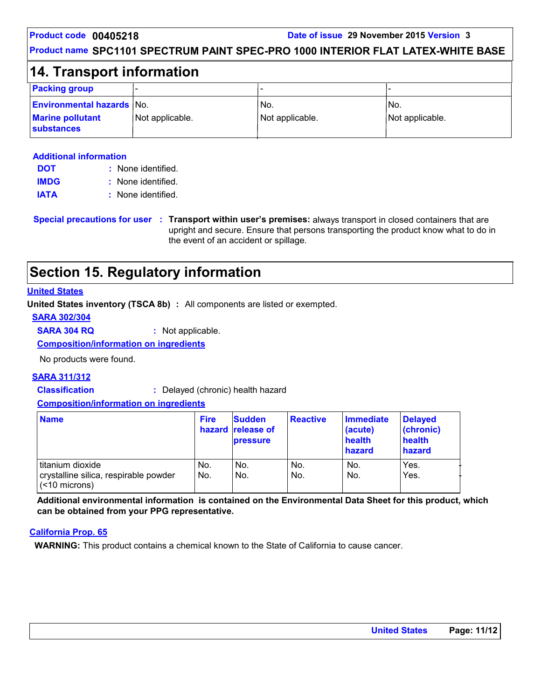#### **Product code** 00405218 **Date of issue** 29 November 2015 Version 3

### **Product name SPC1101 SPECTRUM PAINT SPEC-PRO 1000 INTERIOR FLAT LATEX-WHITE BASE**

### **14. Transport information**

| <b>Packing group</b>                         | -               |                 |                 |
|----------------------------------------------|-----------------|-----------------|-----------------|
| <b>Environmental hazards No.</b>             |                 | 'No.            | IN <sub>o</sub> |
| <b>Marine pollutant</b><br><b>substances</b> | Not applicable. | Not applicable. | Not applicable. |

#### **Additional information**

| <b>DOT</b>  | : None identified. |  |
|-------------|--------------------|--|
| <b>IMDG</b> | : None identified. |  |
| <b>IATA</b> | : None identified. |  |

**Special precautions for user Transport within user's premises:** always transport in closed containers that are **:** upright and secure. Ensure that persons transporting the product know what to do in the event of an accident or spillage.

### **Section 15. Regulatory information**

### **United States**

**United States inventory (TSCA 8b) :** All components are listed or exempted.

**SARA 302/304**

**SARA 304 RQ :** Not applicable.

**Composition/information on ingredients**

No products were found.

### **SARA 311/312**

**Classification :** Delayed (chronic) health hazard

#### **Composition/information on ingredients**

| <b>Name</b>                                                                         | <b>Fire</b> | <b>Sudden</b><br>hazard release of<br><b>pressure</b> | <b>Reactive</b> | Immediate<br>(acute)<br>health<br>hazard | <b>Delayed</b><br>(chronic)<br>health<br>hazard |
|-------------------------------------------------------------------------------------|-------------|-------------------------------------------------------|-----------------|------------------------------------------|-------------------------------------------------|
| l titanium dioxide<br>crystalline silica, respirable powder<br>$\sim$ (<10 microns) | No.<br>No.  | No.<br>No.                                            | No.<br>No.      | No.<br>No.                               | Yes.<br>Yes.                                    |

**Additional environmental information is contained on the Environmental Data Sheet for this product, which can be obtained from your PPG representative.**

#### **California Prop. 65**

**WARNING:** This product contains a chemical known to the State of California to cause cancer.